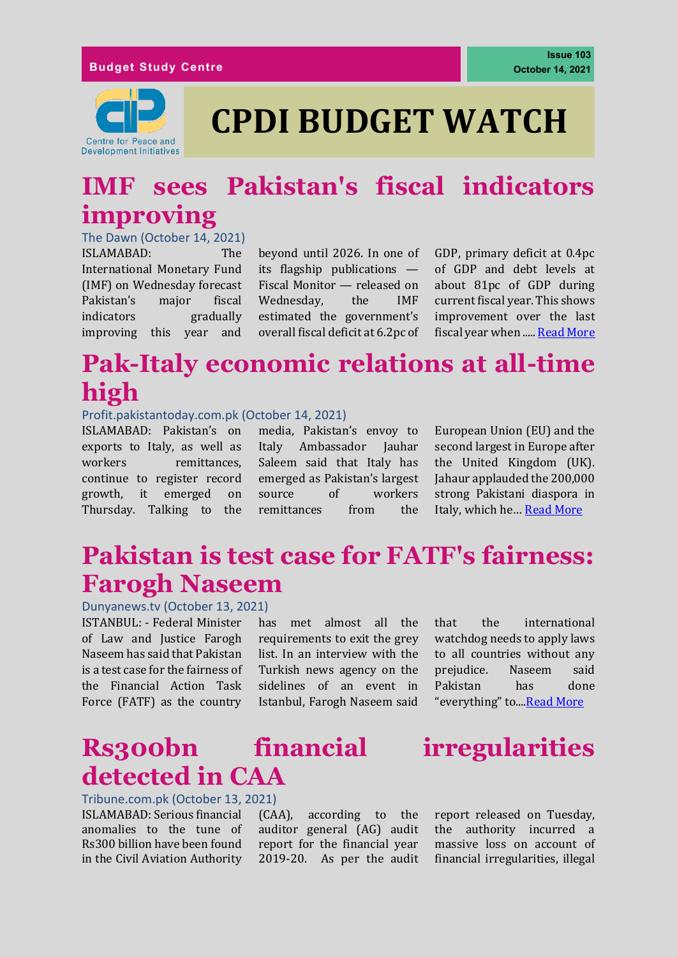

## **CPDI BUDGET WATCH**

### **IMF sees Pakistan's fiscal indicators improving**

The Dawn (October 14, 2021) ISLAMABAD: The International Monetary Fund (IMF) on Wednesday forecast Pakistan's major fiscal indicators gradually improving this year and

beyond until 2026. In one of its flagship publications — Fiscal Monitor — released on Wednesday, the IMF estimated the government's overall fiscal deficit at 6.2pc of GDP, primary deficit at 0.4pc of GDP and debt levels at about 81pc of GDP during current fiscal year. This shows improvement over the last fiscal year when ..... [Read More](https://www.dawn.com/news/1651907)

### **Pak-Italy economic relations at all-time high**

#### Profit.pakistantoday.com.pk (October 14, 2021)

ISLAMABAD: Pakistan's on exports to Italy, as well as workers remittances. continue to register record growth, it emerged on Thursday. Talking to the

media, Pakistan's envoy to Italy Ambassador Jauhar Saleem said that Italy has emerged as Pakistan's largest source of workers remittances from the European Union (EU) and the second largest in Europe after the United Kingdom (UK). Jahaur applauded the 200,000 strong Pakistani diaspora in Italy, which he… [Read More](https://profit.pakistantoday.com.pk/2021/10/14/pak-italy-economic-relations-at-all-time-high/)

### **Pakistan is test case for FATF's fairness: Farogh Naseem**

Dunyanews.tv (October 13, 2021)

ISTANBUL: - Federal Minister of Law and Justice Farogh Naseem has said that Pakistan is a test case for the fairness of the Financial Action Task Force (FATF) as the country

has met almost all the requirements to exit the grey list. In an interview with the Turkish news agency on the sidelines of an event in Istanbul, Farogh Naseem said that the international watchdog needs to apply laws to all countries without any prejudice. Naseem said Pakistan has done "everything" to...[.Read More](https://www.brecorder.com/news/40123420)

### **Rs300bn financial irregularities detected in CAA**

#### Tribune.com.pk (October 13, 2021)

ISLAMABAD: Serious financial anomalies to the tune of Rs300 billion have been found in the Civil Aviation Authority

(CAA), according to the auditor general (AG) audit report for the financial year 2019-20. As per the audit



report released on Tuesday, the authority incurred a massive loss on account of financial irregularities, illegal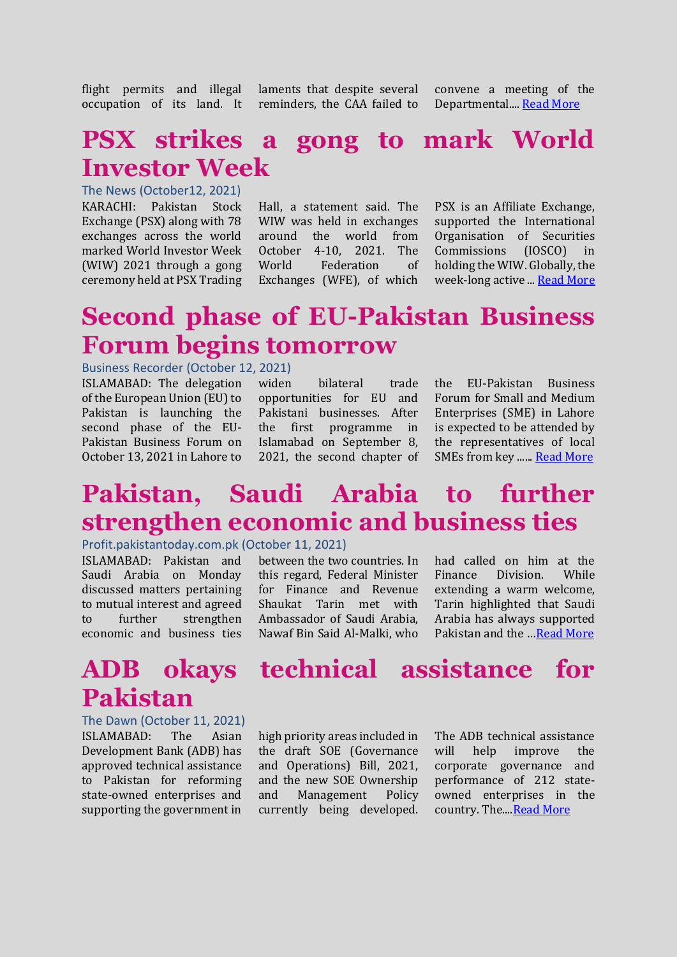flight permits and illegal occupation of its land. It

laments that despite several reminders, the CAA failed to

convene a meeting of the Departmental...[. Read More](https://tribune.com.pk/story/2324608/rs300bn-financial-irregularities-detected-in-caa)

#### **PSX strikes a gong to mark World Investor Week**

The News (October12, 2021) KARACHI: Pakistan Stock Exchange (PSX) along with 78 exchanges across the world marked World Investor Week (WIW) 2021 through a gong ceremony held at PSX Trading

Hall, a statement said. The WIW was held in exchanges around the world from October 4-10, 2021. The World Federation of Exchanges (WFE), of which

PSX is an Affiliate Exchange, supported the International Organisation of Securities Commissions (IOSCO) in holding the WIW. Globally, the week-long active ... **Read More** 

#### **Second phase of EU-Pakistan Business Forum begins tomorrow**

#### Business Recorder (October 12, 2021)

ISLAMABAD: The delegation of the European Union (EU) to Pakistan is launching the second phase of the EU-Pakistan Business Forum on October 13, 2021 in Lahore to

widen bilateral trade opportunities for EU and Pakistani businesses. After the first programme in Islamabad on September 8, 2021, the second chapter of the EU-Pakistan Business Forum for Small and Medium Enterprises (SME) in Lahore is expected to be attended by the representatives of local SMEs from key ...... [Read More](https://www.brecorder.com/news/40126066/second-phase-of-eu-pakistan-business-forum-begins-tomorrow)

### **Pakistan, Saudi Arabia to further strengthen economic and business ties**

#### Profit.pakistantoday.com.pk (October 11, 2021)

ISLAMABAD: Pakistan and Saudi Arabia on Monday discussed matters pertaining to mutual interest and agreed to further strengthen economic and business ties

#### between the two countries. In this regard, Federal Minister for Finance and Revenue Shaukat Tarin met with Ambassador of Saudi Arabia, Nawaf Bin Said Al-Malki, who

had called on him at the Finance Division. While extending a warm welcome, Tarin highlighted that Saudi Arabia has always supported Pakistan and the …[Read More](https://profit.pakistantoday.com.pk/2021/10/11/pakistan-saudi-arabia-to-further-strengthen-economic-and-business-ties/)

# **Pakistan**

The Dawn (October 11, 2021) ISLAMABAD: The Asian Development Bank (ADB) has approved technical assistance to Pakistan for reforming state-owned enterprises and supporting the government in

#### **ADB okays technical assistance for**

high priority areas included in the draft SOE (Governance and Operations) Bill, 2021, and the new SOE Ownership and Management Policy currently being developed.

The ADB technical assistance will help improve the corporate governance and performance of 212 stateowned enterprises in the country. The... Read More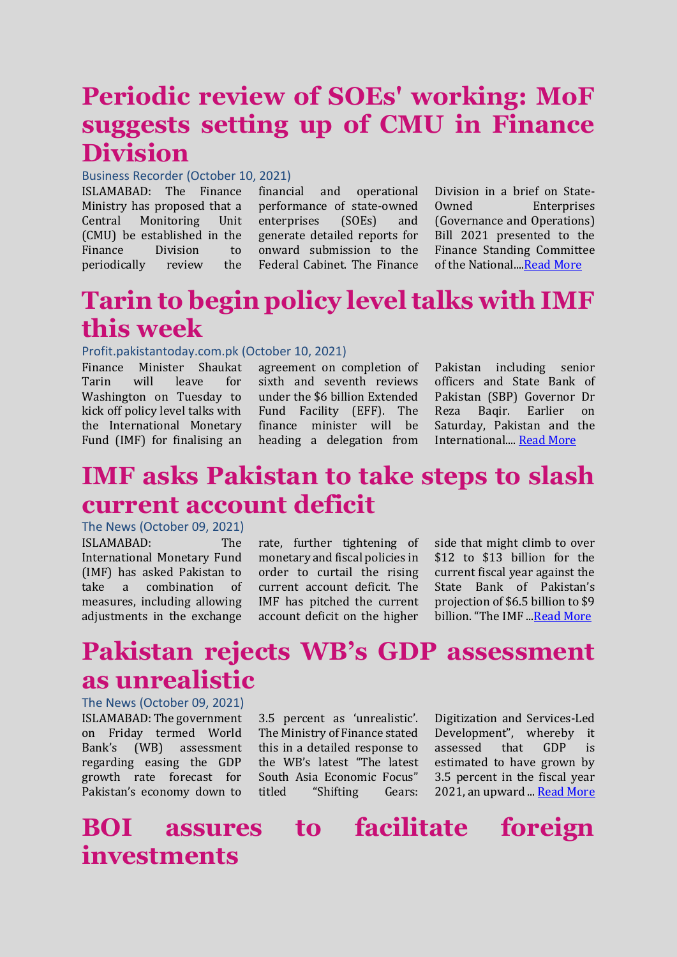### **Periodic review of SOEs' working: MoF suggests setting up of CMU in Finance Division**

#### Business Recorder (October 10, 2021)

ISLAMABAD: The Finance Ministry has proposed that a Central Monitoring Unit (CMU) be established in the Finance Division to periodically review the

financial and operational performance of state-owned enterprises (SOEs) and generate detailed reports for onward submission to the Federal Cabinet. The Finance

Division in a brief on State-Owned Enterprises (Governance and Operations) Bill 2021 presented to the Finance Standing Committee of the National...[.Read More](https://www.brecorder.com/news/40125713)

### **Tarin to begin policy level talks with IMF this week**

#### Profit.pakistantoday.com.pk (October 10, 2021)

Finance Minister Shaukat Tarin will leave for Washington on Tuesday to kick off policy level talks with the International Monetary Fund (IMF) for finalising an

agreement on completion of sixth and seventh reviews under the \$6 billion Extended Fund Facility (EFF). The finance minister will be heading a delegation from Pakistan including senior officers and State Bank of Pakistan (SBP) Governor Dr Reza Baqir. Earlier on Saturday, Pakistan and the International.... [Read More](https://profit.pakistantoday.com.pk/2021/10/10/tarin-to-begin-policy-level-talks-with-imf-this-week/)

#### **IMF asks Pakistan to take steps to slash current account deficit**

The News (October 09, 2021) ISLAMABAD: The International Monetary Fund (IMF) has asked Pakistan to take a combination of measures, including allowing adjustments in the exchange

rate, further tightening of monetary and fiscal policies in order to curtail the rising current account deficit. The IMF has pitched the current account deficit on the higher side that might climb to over \$12 to \$13 billion for the current fiscal year against the State Bank of Pakistan's projection of \$6.5 billion to \$9 billion. "The IMF ... Read More

### **Pakistan rejects WB's GDP assessment as unrealistic**

The News (October 09, 2021) ISLAMABAD: The government on Friday termed World Bank's (WB) assessment regarding easing the GDP growth rate forecast for Pakistan's economy down to

3.5 percent as 'unrealistic'. The Ministry of Finance stated this in a detailed response to the WB's latest "The latest South Asia Economic Focus" titled "Shifting Gears: Digitization and Services-Led Development", whereby it assessed that GDP is estimated to have grown by 3.5 percent in the fiscal year 2021, an upward ... [Read More](https://www.thenews.com.pk/print/898697-pakistan-rejects-wb-s-gdp-assessment-as-unrealistic)

#### **BOI assures to facilitate foreign investments**

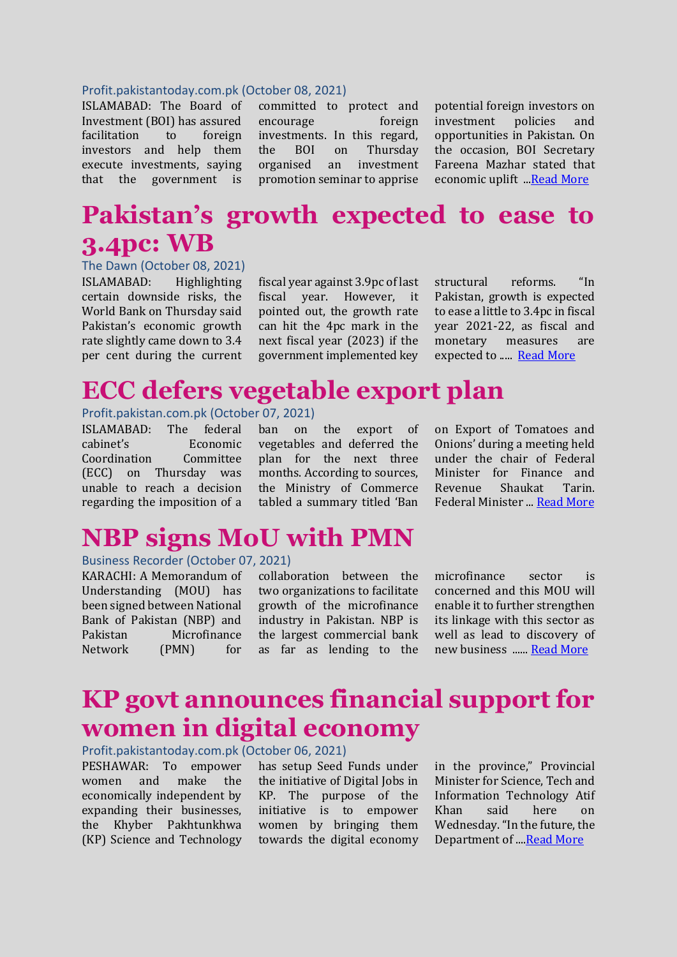#### Profit.pakistantoday.com.pk (October 08, 2021)

ISLAMABAD: The Board of Investment (BOI) has assured facilitation to foreign investors and help them execute investments, saying that the government is

committed to protect and encourage foreign investments. In this regard, the BOI on Thursday organised an investment promotion seminar to apprise

potential foreign investors on investment policies and opportunities in Pakistan. On the occasion, BOI Secretary Fareena Mazhar stated that economic uplift .[..Read More](https://profit.pakistantoday.com.pk/2021/10/08/boi-assures-to-facilitate-foreign-investments/)

### **Pakistan's growth expected to ease to 3.4pc: WB**

The Dawn (October 08, 2021) ISLAMABAD: Highlighting certain downside risks, the World Bank on Thursday said Pakistan's economic growth rate slightly came down to 3.4 per cent during the current

fiscal year against 3.9pc of last fiscal year. However, it pointed out, the growth rate can hit the 4pc mark in the next fiscal year (2023) if the government implemented key structural reforms. "In Pakistan, growth is expected to ease a little to 3.4pc in fiscal year 2021-22, as fiscal and monetary measures are expected to ..... [Read More](https://www.dawn.com/news/1650773)

#### **ECC defers vegetable export plan**

Profit.pakistan.com.pk (October 07, 2021)

ISLAMABAD: The federal cabinet's Economic Coordination Committee (ECC) on Thursday was unable to reach a decision regarding the imposition of a ban on the export of vegetables and deferred the plan for the next three months. According to sources, the Ministry of Commerce tabled a summary titled 'Ban on Export of Tomatoes and Onions' during a meeting held under the chair of Federal Minister for Finance and Revenue Shaukat Tarin. Federal Minister ... [Read More](https://profit.pakistantoday.com.pk/2021/10/07/ecc-defers-vegetable-export-plan/)

#### **NBP signs MoU with PMN**

#### Business Recorder (October 07, 2021)

KARACHI: A Memorandum of Understanding (MOU) has been signed between National Bank of Pakistan (NBP) and Pakistan Microfinance Network (PMN) for

collaboration between the two organizations to facilitate growth of the microfinance industry in Pakistan. NBP is the largest commercial bank as far as lending to the microfinance sector is concerned and this MOU will enable it to further strengthen its linkage with this sector as well as lead to discovery of new business ...... [Read More](https://www.brecorder.com/news/40125050)

### **KP govt announces financial support for women in digital economy**

Profit.pakistantoday.com.pk (October 06, 2021)

PESHAWAR: To empower women and make the economically independent by expanding their businesses, the Khyber Pakhtunkhwa (KP) Science and Technology

has setup Seed Funds under the initiative of Digital Jobs in KP. The purpose of the initiative is to empower women by bringing them towards the digital economy in the province," Provincial Minister for Science, Tech and Information Technology Atif Khan said here on Wednesday."In the future, the Department of ..[..Read More](https://profit.pakistantoday.com.pk/2021/10/06/kp-govt-announces-financial-support-for-women-in-digital-economy/)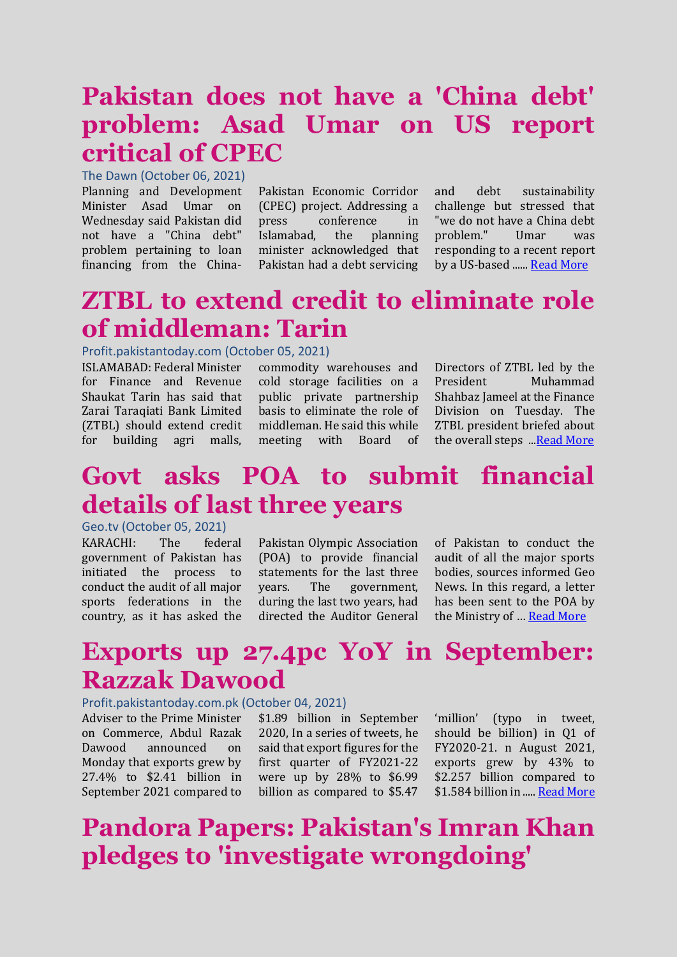### **Pakistan does not have a 'China debt' problem: Asad Umar on US report critical of CPEC**

The Dawn (October 06, 2021)

Planning and Development Minister Asad Umar on Wednesday said Pakistan did not have a "China debt" problem pertaining to loan financing from the China-

Pakistan Economic Corridor (CPEC) project. Addressing a press conference in Islamabad, the planning minister acknowledged that Pakistan had a debt servicing

and debt sustainability challenge but stressed that "we do not have a China debt problem." Umar was responding to a recent report by a US-based .....[. Read More](https://www.dawn.com/news/1650453)

### **ZTBL to extend credit to eliminate role of middleman: Tarin**

#### Profit.pakistantoday.com (October 05, 2021)

ISLAMABAD: Federal Minister for Finance and Revenue Shaukat Tarin has said that Zarai Taraqiati Bank Limited (ZTBL) should extend credit for building agri malls,

commodity warehouses and cold storage facilities on a public private partnership basis to eliminate the role of middleman. He said this while meeting with Board of Directors of ZTBL led by the President Muhammad Shahbaz Jameel at the Finance Division on Tuesday. The ZTBL president briefed about the overall steps .[..Read More](https://profit.pakistantoday.com.pk/2021/10/05/ztbl-to-extend-credit-to-eliminate-role-of-middleman-tarin/)

#### **Govt asks POA to submit financial details of last three years**

#### Geo.tv (October 05, 2021)

KARACHI: The federal government of Pakistan has initiated the process to conduct the audit of all major sports federations in the country, as it has asked the

Pakistan Olympic Association (POA) to provide financial statements for the last three years. The government, during the last two years, had directed the Auditor General of Pakistan to conduct the audit of all the major sports bodies, sources informed Geo News. In this regard, a letter has been sent to the POA by the Ministry of … [Read More](https://www.geo.tv/latest/374176-govt-asks-poa-to-submit-financial-details-of-last-three-years)

#### **Exports up 27.4pc YoY in September: Razzak Dawood**

#### Profit.pakistantoday.com.pk (October 04, 2021)

Adviser to the Prime Minister on Commerce, Abdul Razak Dawood announced on Monday that exports grew by 27.4% to \$2.41 billion in September 2021 compared to

\$1.89 billion in September 2020, In a series of tweets, he said that export figures for the first quarter of FY2021-22 were up by 28% to \$6.99 billion as compared to \$5.47

'million' (typo in tweet, should be billion) in Q1 of FY2020-21. n August 2021, exports grew by 43% to \$2.257 billion compared to \$1.584 billion in ....[. Read More](https://profit.pakistantoday.com.pk/2021/10/04/exports-up-27-4pc-yoy-in-september-razzak-dawood/)

### **Pandora Papers: Pakistan's Imran Khan pledges to 'investigate wrongdoing'**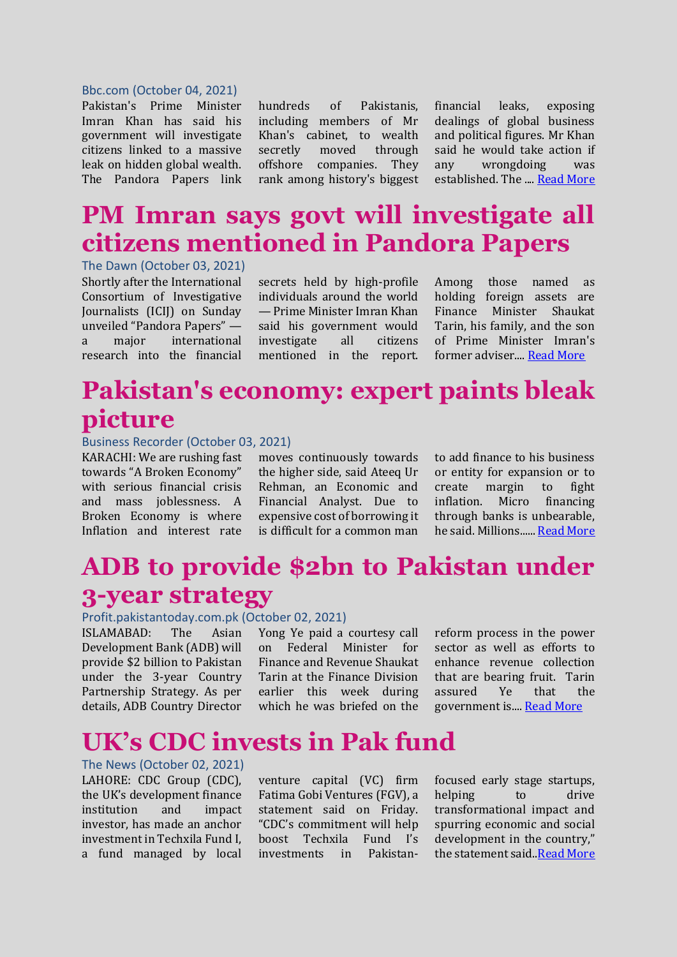#### Bbc.com (October 04, 2021)

Pakistan's Prime Minister Imran Khan has said his government will investigate citizens linked to a massive leak on hidden global wealth. The Pandora Papers link hundreds of Pakistanis, including members of Mr Khan's cabinet, to wealth secretly moved through offshore companies. They rank among history's biggest financial leaks, exposing dealings of global business and political figures. Mr Khan said he would take action if any wrongdoing was established. The ...[. Read More](https://www.bbc.com/news/world-asia-58787615)

### **PM Imran says govt will investigate all citizens mentioned in Pandora Papers**

The Dawn (October 03, 2021) Shortly after the International Consortium of Investigative Journalists (ICIJ) on Sunday unveiled "Pandora Papers" a major international research into the financial

secrets held by high-profile individuals around the world — Prime Minister Imran Khan said his government would investigate all citizens mentioned in the report. Among those named as holding foreign assets are Finance Minister Shaukat Tarin, his family, and the son of Prime Minister Imran's former adviser.... [Read More](https://www.dawn.com/news/1649932)

### **Pakistan's economy: expert paints bleak picture**

#### Business Recorder (October 03, 2021)

KARACHI: We are rushing fast towards "A Broken Economy" with serious financial crisis and mass joblessness. A Broken Economy is where Inflation and interest rate

moves continuously towards the higher side, said Ateeq Ur Rehman, an Economic and Financial Analyst. Due to expensive cost of borrowing it is difficult for a common man to add finance to his business or entity for expansion or to create margin to fight inflation. Micro financing through banks is unbearable, he said. Millions.....[. Read More](https://www.brecorder.com/news/40124133)

### **ADB to provide \$2bn to Pakistan under 3-year strategy**

#### Profit.pakistantoday.com.pk (October 02, 2021)

ISLAMABAD: The Asian Development Bank (ADB) will provide \$2 billion to Pakistan under the 3-year Country Partnership Strategy. As per details, ADB Country Director

Yong Ye paid a courtesy call on Federal Minister for Finance and Revenue Shaukat Tarin at the Finance Division earlier this week during which he was briefed on the

reform process in the power sector as well as efforts to enhance revenue collection that are bearing fruit. Tarin assured Ye that the government is...[. Read More](https://profit.pakistantoday.com.pk/2021/10/02/adb-to-provide-2bn-to-pakistan-under-3-year-strategy/)

#### **UK's CDC invests in Pak fund**

The News (October 02, 2021) LAHORE: CDC Group (CDC), the UK's development finance institution and impact investor, has made an anchor investment in Techxila Fund I, a fund managed by local

venture capital (VC) firm Fatima Gobi Ventures (FGV), a statement said on Friday. "CDC's commitment will help boost Techxila Fund I's investments in Pakistanfocused early stage startups, helping to drive transformational impact and spurring economic and social development in the country," the statement said..*Read More*